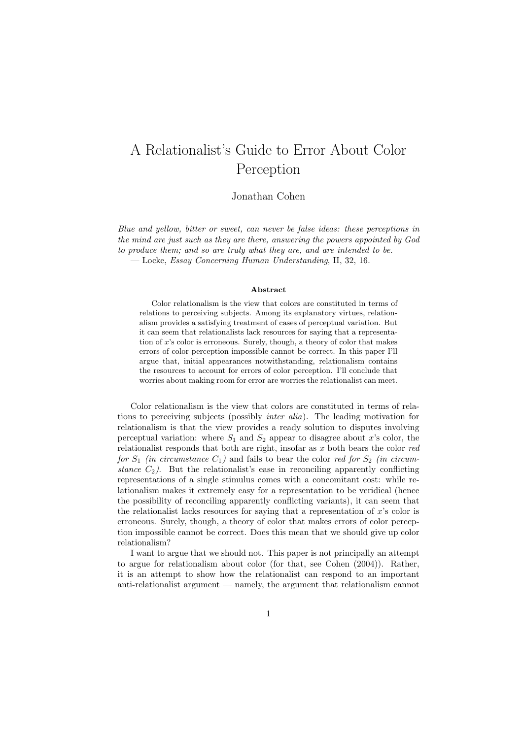# A Relationalist's Guide to Error About Color Perception

Jonathan Cohen

Blue and yellow, bitter or sweet, can never be false ideas: these perceptions in the mind are just such as they are there, answering the powers appointed by God to produce them; and so are truly what they are, and are intended to be. — Locke, Essay Concerning Human Understanding, II, 32, 16.

#### Abstract

Color relationalism is the view that colors are constituted in terms of relations to perceiving subjects. Among its explanatory virtues, relationalism provides a satisfying treatment of cases of perceptual variation. But it can seem that relationalists lack resources for saying that a representation of x's color is erroneous. Surely, though, a theory of color that makes errors of color perception impossible cannot be correct. In this paper I'll argue that, initial appearances notwithstanding, relationalism contains the resources to account for errors of color perception. I'll conclude that worries about making room for error are worries the relationalist can meet.

Color relationalism is the view that colors are constituted in terms of relations to perceiving subjects (possibly inter alia). The leading motivation for relationalism is that the view provides a ready solution to disputes involving perceptual variation: where  $S_1$  and  $S_2$  appear to disagree about x's color, the relationalist responds that both are right, insofar as  $x$  both bears the color  $red$ for  $S_1$  (in circumstance  $C_1$ ) and fails to bear the color red for  $S_2$  (in circumstance  $C_2$ ). But the relationalist's ease in reconciling apparently conflicting representations of a single stimulus comes with a concomitant cost: while relationalism makes it extremely easy for a representation to be veridical (hence the possibility of reconciling apparently conflicting variants), it can seem that the relationalist lacks resources for saying that a representation of x's color is erroneous. Surely, though, a theory of color that makes errors of color perception impossible cannot be correct. Does this mean that we should give up color relationalism?

I want to argue that we should not. This paper is not principally an attempt to argue for relationalism about color (for that, see Cohen (2004)). Rather, it is an attempt to show how the relationalist can respond to an important anti-relationalist argument — namely, the argument that relationalism cannot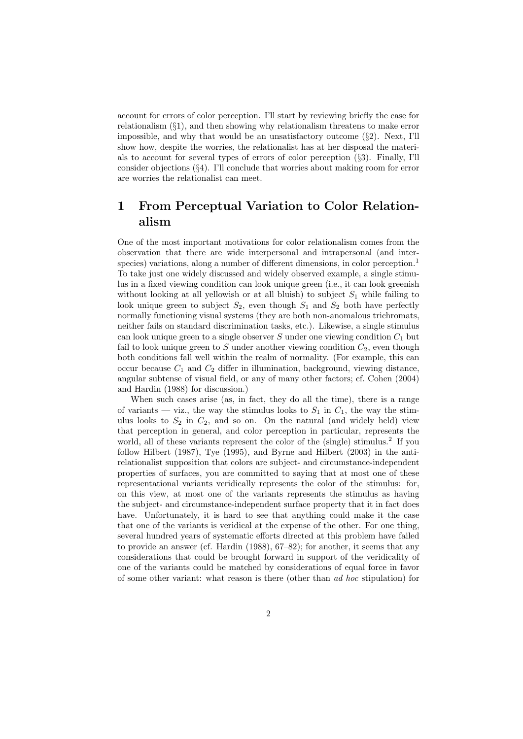account for errors of color perception. I'll start by reviewing briefly the case for relationalism (§1), and then showing why relationalism threatens to make error impossible, and why that would be an unsatisfactory outcome (§2). Next, I'll show how, despite the worries, the relationalist has at her disposal the materials to account for several types of errors of color perception (§3). Finally, I'll consider objections (§4). I'll conclude that worries about making room for error are worries the relationalist can meet.

## 1 From Perceptual Variation to Color Relationalism

One of the most important motivations for color relationalism comes from the observation that there are wide interpersonal and intrapersonal (and interspecies) variations, along a number of different dimensions, in color perception.<sup>1</sup> To take just one widely discussed and widely observed example, a single stimulus in a fixed viewing condition can look unique green (i.e., it can look greenish without looking at all yellowish or at all bluish) to subject  $S_1$  while failing to look unique green to subject  $S_2$ , even though  $S_1$  and  $S_2$  both have perfectly normally functioning visual systems (they are both non-anomalous trichromats, neither fails on standard discrimination tasks, etc.). Likewise, a single stimulus can look unique green to a single observer  $S$  under one viewing condition  $C_1$  but fail to look unique green to  $S$  under another viewing condition  $C_2$ , even though both conditions fall well within the realm of normality. (For example, this can occur because  $C_1$  and  $C_2$  differ in illumination, background, viewing distance, angular subtense of visual field, or any of many other factors; cf. Cohen (2004) and Hardin (1988) for discussion.)

When such cases arise (as, in fact, they do all the time), there is a range of variants — viz., the way the stimulus looks to  $S_1$  in  $C_1$ , the way the stimulus looks to  $S_2$  in  $C_2$ , and so on. On the natural (and widely held) view that perception in general, and color perception in particular, represents the world, all of these variants represent the color of the (single) stimulus.<sup>2</sup> If you follow Hilbert (1987), Tye (1995), and Byrne and Hilbert (2003) in the antirelationalist supposition that colors are subject- and circumstance-independent properties of surfaces, you are committed to saying that at most one of these representational variants veridically represents the color of the stimulus: for, on this view, at most one of the variants represents the stimulus as having the subject- and circumstance-independent surface property that it in fact does have. Unfortunately, it is hard to see that anything could make it the case that one of the variants is veridical at the expense of the other. For one thing, several hundred years of systematic efforts directed at this problem have failed to provide an answer (cf. Hardin (1988), 67–82); for another, it seems that any considerations that could be brought forward in support of the veridicality of one of the variants could be matched by considerations of equal force in favor of some other variant: what reason is there (other than ad hoc stipulation) for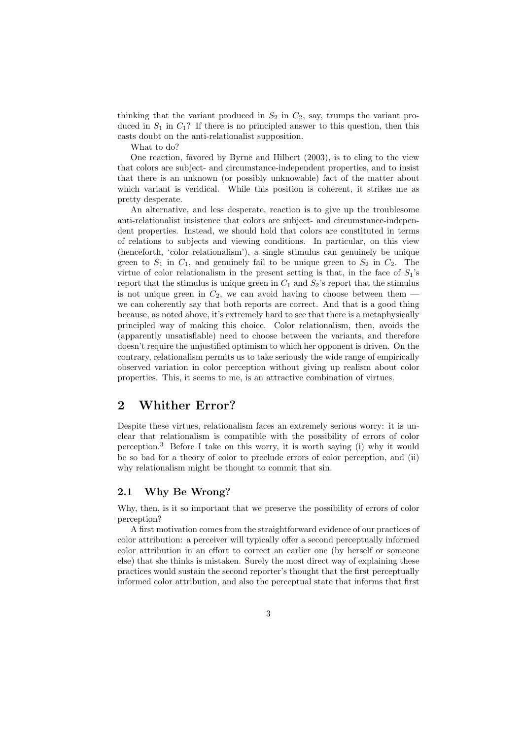thinking that the variant produced in  $S_2$  in  $C_2$ , say, trumps the variant produced in  $S_1$  in  $C_1$ ? If there is no principled answer to this question, then this casts doubt on the anti-relationalist supposition.

What to do?

One reaction, favored by Byrne and Hilbert (2003), is to cling to the view that colors are subject- and circumstance-independent properties, and to insist that there is an unknown (or possibly unknowable) fact of the matter about which variant is veridical. While this position is coherent, it strikes me as pretty desperate.

An alternative, and less desperate, reaction is to give up the troublesome anti-relationalist insistence that colors are subject- and circumstance-independent properties. Instead, we should hold that colors are constituted in terms of relations to subjects and viewing conditions. In particular, on this view (henceforth, 'color relationalism'), a single stimulus can genuinely be unique green to  $S_1$  in  $C_1$ , and genuinely fail to be unique green to  $S_2$  in  $C_2$ . The virtue of color relationalism in the present setting is that, in the face of  $S_1$ 's report that the stimulus is unique green in  $C_1$  and  $S_2$ 's report that the stimulus is not unique green in  $C_2$ , we can avoid having to choose between them  $$ we can coherently say that both reports are correct. And that is a good thing because, as noted above, it's extremely hard to see that there is a metaphysically principled way of making this choice. Color relationalism, then, avoids the (apparently unsatisfiable) need to choose between the variants, and therefore doesn't require the unjustified optimism to which her opponent is driven. On the contrary, relationalism permits us to take seriously the wide range of empirically observed variation in color perception without giving up realism about color properties. This, it seems to me, is an attractive combination of virtues.

## 2 Whither Error?

Despite these virtues, relationalism faces an extremely serious worry: it is unclear that relationalism is compatible with the possibility of errors of color perception.<sup>3</sup> Before I take on this worry, it is worth saying (i) why it would be so bad for a theory of color to preclude errors of color perception, and (ii) why relationalism might be thought to commit that sin.

#### 2.1 Why Be Wrong?

Why, then, is it so important that we preserve the possibility of errors of color perception?

A first motivation comes from the straightforward evidence of our practices of color attribution: a perceiver will typically offer a second perceptually informed color attribution in an effort to correct an earlier one (by herself or someone else) that she thinks is mistaken. Surely the most direct way of explaining these practices would sustain the second reporter's thought that the first perceptually informed color attribution, and also the perceptual state that informs that first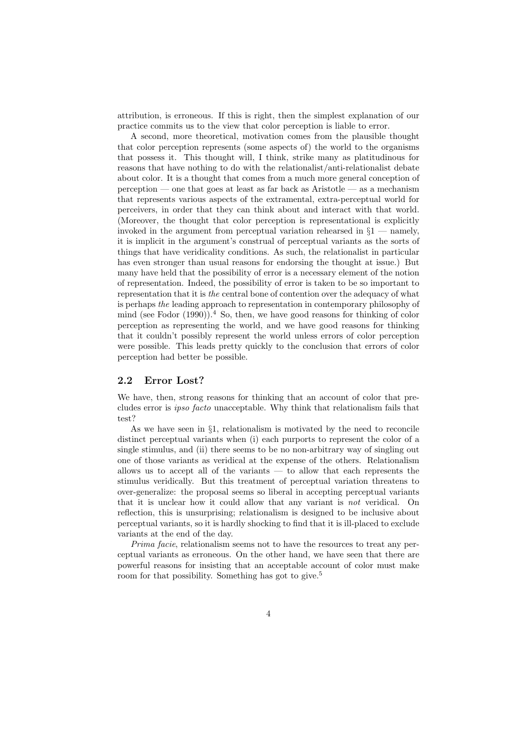attribution, is erroneous. If this is right, then the simplest explanation of our practice commits us to the view that color perception is liable to error.

A second, more theoretical, motivation comes from the plausible thought that color perception represents (some aspects of) the world to the organisms that possess it. This thought will, I think, strike many as platitudinous for reasons that have nothing to do with the relationalist/anti-relationalist debate about color. It is a thought that comes from a much more general conception of perception — one that goes at least as far back as Aristotle — as a mechanism that represents various aspects of the extramental, extra-perceptual world for perceivers, in order that they can think about and interact with that world. (Moreover, the thought that color perception is representational is explicitly invoked in the argument from perceptual variation rehearsed in  $\S1$  — namely, it is implicit in the argument's construal of perceptual variants as the sorts of things that have veridicality conditions. As such, the relationalist in particular has even stronger than usual reasons for endorsing the thought at issue.) But many have held that the possibility of error is a necessary element of the notion of representation. Indeed, the possibility of error is taken to be so important to representation that it is the central bone of contention over the adequacy of what is perhaps the leading approach to representation in contemporary philosophy of mind (see Fodor  $(1990)$ ).<sup>4</sup> So, then, we have good reasons for thinking of color perception as representing the world, and we have good reasons for thinking that it couldn't possibly represent the world unless errors of color perception were possible. This leads pretty quickly to the conclusion that errors of color perception had better be possible.

#### 2.2 Error Lost?

We have, then, strong reasons for thinking that an account of color that precludes error is ipso facto unacceptable. Why think that relationalism fails that test?

As we have seen in §1, relationalism is motivated by the need to reconcile distinct perceptual variants when (i) each purports to represent the color of a single stimulus, and (ii) there seems to be no non-arbitrary way of singling out one of those variants as veridical at the expense of the others. Relationalism allows us to accept all of the variants — to allow that each represents the stimulus veridically. But this treatment of perceptual variation threatens to over-generalize: the proposal seems so liberal in accepting perceptual variants that it is unclear how it could allow that any variant is not veridical. On reflection, this is unsurprising; relationalism is designed to be inclusive about perceptual variants, so it is hardly shocking to find that it is ill-placed to exclude variants at the end of the day.

Prima facie, relationalism seems not to have the resources to treat any perceptual variants as erroneous. On the other hand, we have seen that there are powerful reasons for insisting that an acceptable account of color must make room for that possibility. Something has got to give.<sup>5</sup>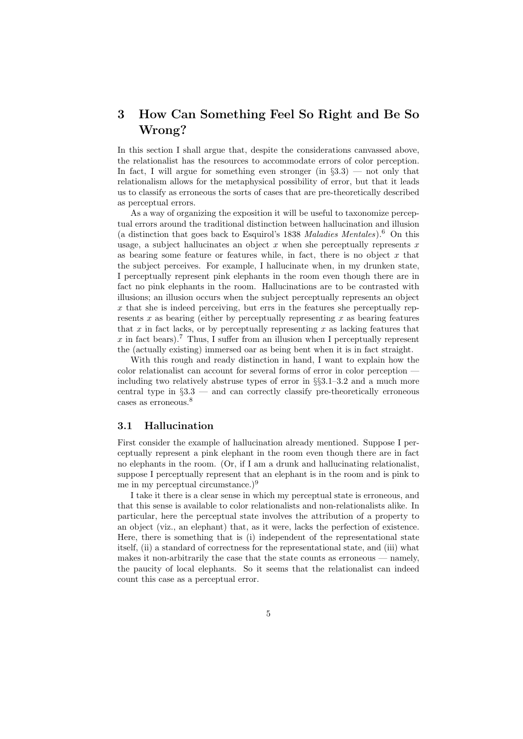## 3 How Can Something Feel So Right and Be So Wrong?

In this section I shall argue that, despite the considerations canvassed above, the relationalist has the resources to accommodate errors of color perception. In fact, I will argue for something even stronger (in §3.3) — not only that relationalism allows for the metaphysical possibility of error, but that it leads us to classify as erroneous the sorts of cases that are pre-theoretically described as perceptual errors.

As a way of organizing the exposition it will be useful to taxonomize perceptual errors around the traditional distinction between hallucination and illusion (a distinction that goes back to Esquirol's 1838 Maladies Mentales).<sup>6</sup> On this usage, a subject hallucinates an object  $x$  when she perceptually represents  $x$ as bearing some feature or features while, in fact, there is no object  $x$  that the subject perceives. For example, I hallucinate when, in my drunken state, I perceptually represent pink elephants in the room even though there are in fact no pink elephants in the room. Hallucinations are to be contrasted with illusions; an illusion occurs when the subject perceptually represents an object x that she is indeed perceiving, but errs in the features she perceptually represents x as bearing (either by perceptually representing  $x$  as bearing features that  $x$  in fact lacks, or by perceptually representing  $x$  as lacking features that  $x$  in fact bears).<sup>7</sup> Thus, I suffer from an illusion when I perceptually represent the (actually existing) immersed oar as being bent when it is in fact straight.

With this rough and ready distinction in hand, I want to explain how the color relationalist can account for several forms of error in color perception including two relatively abstruse types of error in §§3.1–3.2 and a much more central type in  $\S 3.3$  — and can correctly classify pre-theoretically erroneous cases as erroneous.<sup>8</sup>

#### 3.1 Hallucination

First consider the example of hallucination already mentioned. Suppose I perceptually represent a pink elephant in the room even though there are in fact no elephants in the room. (Or, if I am a drunk and hallucinating relationalist, suppose I perceptually represent that an elephant is in the room and is pink to me in my perceptual circumstance.)<sup>9</sup>

I take it there is a clear sense in which my perceptual state is erroneous, and that this sense is available to color relationalists and non-relationalists alike. In particular, here the perceptual state involves the attribution of a property to an object (viz., an elephant) that, as it were, lacks the perfection of existence. Here, there is something that is (i) independent of the representational state itself, (ii) a standard of correctness for the representational state, and (iii) what makes it non-arbitrarily the case that the state counts as erroneous — namely, the paucity of local elephants. So it seems that the relationalist can indeed count this case as a perceptual error.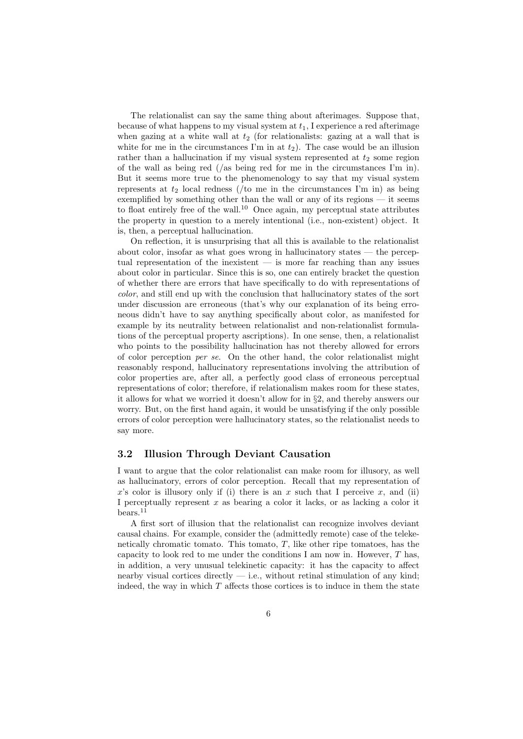The relationalist can say the same thing about afterimages. Suppose that, because of what happens to my visual system at  $t_1$ , I experience a red afterimage when gazing at a white wall at  $t_2$  (for relationalists: gazing at a wall that is white for me in the circumstances I'm in at  $t_2$ ). The case would be an illusion rather than a hallucination if my visual system represented at  $t_2$  some region of the wall as being red (/as being red for me in the circumstances  $\Gamma$ m in). But it seems more true to the phenomenology to say that my visual system represents at  $t_2$  local redness (/to me in the circumstances I'm in) as being exemplified by something other than the wall or any of its regions — it seems to float entirely free of the wall.<sup>10</sup> Once again, my perceptual state attributes the property in question to a merely intentional (i.e., non-existent) object. It is, then, a perceptual hallucination.

On reflection, it is unsurprising that all this is available to the relationalist about color, insofar as what goes wrong in hallucinatory states — the perceptual representation of the inexistent — is more far reaching than any issues about color in particular. Since this is so, one can entirely bracket the question of whether there are errors that have specifically to do with representations of color, and still end up with the conclusion that hallucinatory states of the sort under discussion are erroneous (that's why our explanation of its being erroneous didn't have to say anything specifically about color, as manifested for example by its neutrality between relationalist and non-relationalist formulations of the perceptual property ascriptions). In one sense, then, a relationalist who points to the possibility hallucination has not thereby allowed for errors of color perception per se. On the other hand, the color relationalist might reasonably respond, hallucinatory representations involving the attribution of color properties are, after all, a perfectly good class of erroneous perceptual representations of color; therefore, if relationalism makes room for these states, it allows for what we worried it doesn't allow for in §2, and thereby answers our worry. But, on the first hand again, it would be unsatisfying if the only possible errors of color perception were hallucinatory states, so the relationalist needs to say more.

#### 3.2 Illusion Through Deviant Causation

I want to argue that the color relationalist can make room for illusory, as well as hallucinatory, errors of color perception. Recall that my representation of x's color is illusory only if (i) there is an x such that I perceive x, and (ii) I perceptually represent  $x$  as bearing a color it lacks, or as lacking a color it bears.<sup>11</sup>

A first sort of illusion that the relationalist can recognize involves deviant causal chains. For example, consider the (admittedly remote) case of the telekenetically chromatic tomato. This tomato,  $T$ , like other ripe tomatoes, has the capacity to look red to me under the conditions I am now in. However,  $T$  has, in addition, a very unusual telekinetic capacity: it has the capacity to affect nearby visual cortices directly  $-$  i.e., without retinal stimulation of any kind; indeed, the way in which  $T$  affects those cortices is to induce in them the state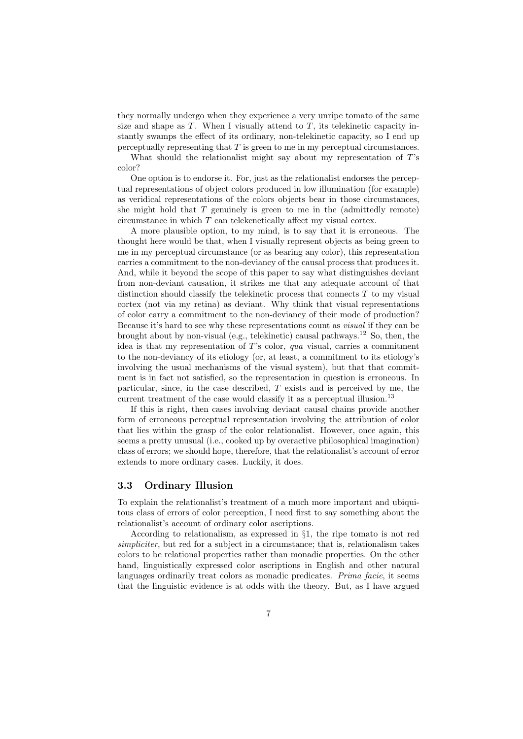they normally undergo when they experience a very unripe tomato of the same size and shape as  $T$ . When I visually attend to  $T$ , its telekinetic capacity instantly swamps the effect of its ordinary, non-telekinetic capacity, so I end up perceptually representing that  $T$  is green to me in my perceptual circumstances.

What should the relationalist might say about my representation of T's color?

One option is to endorse it. For, just as the relationalist endorses the perceptual representations of object colors produced in low illumination (for example) as veridical representations of the colors objects bear in those circumstances, she might hold that  $T$  genuinely is green to me in the (admittedly remote) circumstance in which T can telekenetically affect my visual cortex.

A more plausible option, to my mind, is to say that it is erroneous. The thought here would be that, when I visually represent objects as being green to me in my perceptual circumstance (or as bearing any color), this representation carries a commitment to the non-deviancy of the causal process that produces it. And, while it beyond the scope of this paper to say what distinguishes deviant from non-deviant causation, it strikes me that any adequate account of that distinction should classify the telekinetic process that connects  $T$  to my visual cortex (not via my retina) as deviant. Why think that visual representations of color carry a commitment to the non-deviancy of their mode of production? Because it's hard to see why these representations count as visual if they can be brought about by non-visual (e.g., telekinetic) causal pathways.<sup>12</sup> So, then, the idea is that my representation of T's color, qua visual, carries a commitment to the non-deviancy of its etiology (or, at least, a commitment to its etiology's involving the usual mechanisms of the visual system), but that that commitment is in fact not satisfied, so the representation in question is erroneous. In particular, since, in the case described,  $T$  exists and is perceived by me, the current treatment of the case would classify it as a perceptual illusion.<sup>13</sup>

If this is right, then cases involving deviant causal chains provide another form of erroneous perceptual representation involving the attribution of color that lies within the grasp of the color relationalist. However, once again, this seems a pretty unusual (i.e., cooked up by overactive philosophical imagination) class of errors; we should hope, therefore, that the relationalist's account of error extends to more ordinary cases. Luckily, it does.

#### 3.3 Ordinary Illusion

To explain the relationalist's treatment of a much more important and ubiquitous class of errors of color perception, I need first to say something about the relationalist's account of ordinary color ascriptions.

According to relationalism, as expressed in  $\S1$ , the ripe tomato is not red simpliciter, but red for a subject in a circumstance; that is, relationalism takes colors to be relational properties rather than monadic properties. On the other hand, linguistically expressed color ascriptions in English and other natural languages ordinarily treat colors as monadic predicates. Prima facie, it seems that the linguistic evidence is at odds with the theory. But, as I have argued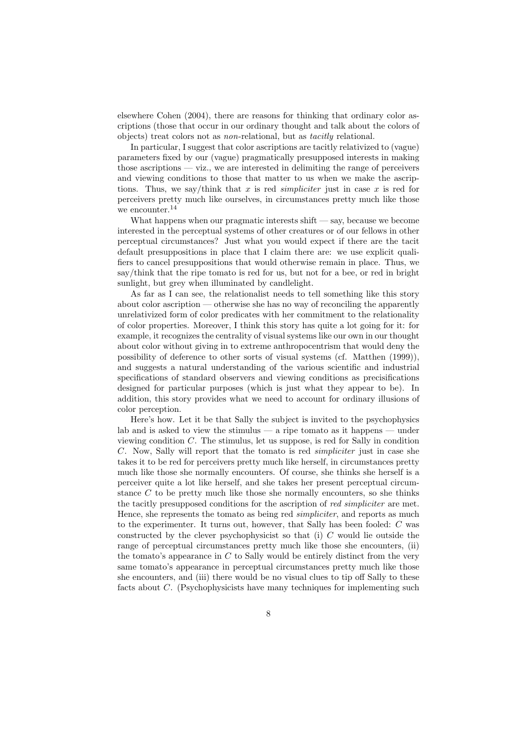elsewhere Cohen (2004), there are reasons for thinking that ordinary color ascriptions (those that occur in our ordinary thought and talk about the colors of objects) treat colors not as non-relational, but as tacitly relational.

In particular, I suggest that color ascriptions are tacitly relativized to (vague) parameters fixed by our (vague) pragmatically presupposed interests in making those ascriptions — viz., we are interested in delimiting the range of perceivers and viewing conditions to those that matter to us when we make the ascriptions. Thus, we say/think that x is red *simpliciter* just in case x is red for perceivers pretty much like ourselves, in circumstances pretty much like those we encounter.<sup>14</sup>

What happens when our pragmatic interests shift  $-\text{say}$ , because we become interested in the perceptual systems of other creatures or of our fellows in other perceptual circumstances? Just what you would expect if there are the tacit default presuppositions in place that I claim there are: we use explicit qualifiers to cancel presuppositions that would otherwise remain in place. Thus, we say/think that the ripe tomato is red for us, but not for a bee, or red in bright sunlight, but grey when illuminated by candlelight.

As far as I can see, the relationalist needs to tell something like this story about color ascription — otherwise she has no way of reconciling the apparently unrelativized form of color predicates with her commitment to the relationality of color properties. Moreover, I think this story has quite a lot going for it: for example, it recognizes the centrality of visual systems like our own in our thought about color without giving in to extreme anthropocentrism that would deny the possibility of deference to other sorts of visual systems (cf. Matthen (1999)), and suggests a natural understanding of the various scientific and industrial specifications of standard observers and viewing conditions as precisifications designed for particular purposes (which is just what they appear to be). In addition, this story provides what we need to account for ordinary illusions of color perception.

Here's how. Let it be that Sally the subject is invited to the psychophysics lab and is asked to view the stimulus — a ripe tomato as it happens — under viewing condition C. The stimulus, let us suppose, is red for Sally in condition C. Now, Sally will report that the tomato is red simpliciter just in case she takes it to be red for perceivers pretty much like herself, in circumstances pretty much like those she normally encounters. Of course, she thinks she herself is a perceiver quite a lot like herself, and she takes her present perceptual circumstance  $C$  to be pretty much like those she normally encounters, so she thinks the tacitly presupposed conditions for the ascription of red simpliciter are met. Hence, she represents the tomato as being red simpliciter, and reports as much to the experimenter. It turns out, however, that Sally has been fooled: C was constructed by the clever psychophysicist so that (i) C would lie outside the range of perceptual circumstances pretty much like those she encounters, (ii) the tomato's appearance in  $C$  to Sally would be entirely distinct from the very same tomato's appearance in perceptual circumstances pretty much like those she encounters, and (iii) there would be no visual clues to tip off Sally to these facts about C. (Psychophysicists have many techniques for implementing such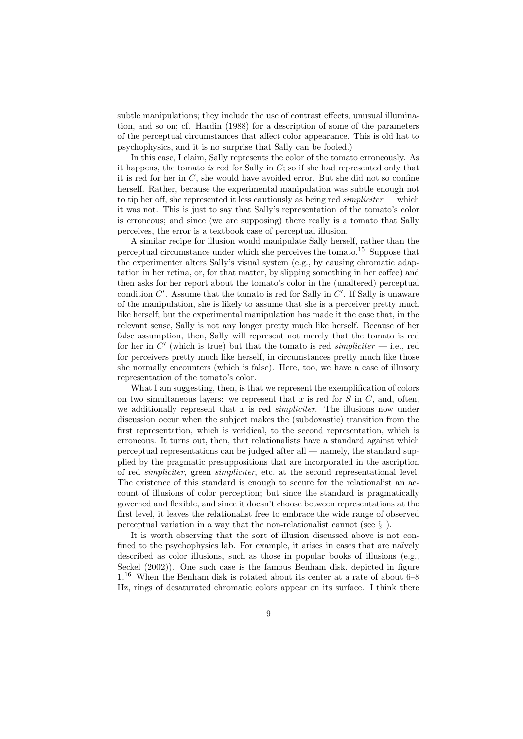subtle manipulations; they include the use of contrast effects, unusual illumination, and so on; cf. Hardin (1988) for a description of some of the parameters of the perceptual circumstances that affect color appearance. This is old hat to psychophysics, and it is no surprise that Sally can be fooled.)

In this case, I claim, Sally represents the color of the tomato erroneously. As it happens, the tomato is red for Sally in  $C$ ; so if she had represented only that it is red for her in C, she would have avoided error. But she did not so confine herself. Rather, because the experimental manipulation was subtle enough not to tip her off, she represented it less cautiously as being red *simpliciter* — which it was not. This is just to say that Sally's representation of the tomato's color is erroneous; and since (we are supposing) there really is a tomato that Sally perceives, the error is a textbook case of perceptual illusion.

A similar recipe for illusion would manipulate Sally herself, rather than the perceptual circumstance under which she perceives the tomato.<sup>15</sup> Suppose that the experimenter alters Sally's visual system (e.g., by causing chromatic adaptation in her retina, or, for that matter, by slipping something in her coffee) and then asks for her report about the tomato's color in the (unaltered) perceptual condition  $C'$ . Assume that the tomato is red for Sally in  $C'$ . If Sally is unaware of the manipulation, she is likely to assume that she is a perceiver pretty much like herself; but the experimental manipulation has made it the case that, in the relevant sense, Sally is not any longer pretty much like herself. Because of her false assumption, then, Sally will represent not merely that the tomato is red for her in  $C'$  (which is true) but that the tomato is red *simpliciter*  $-$  i.e., red for perceivers pretty much like herself, in circumstances pretty much like those she normally encounters (which is false). Here, too, we have a case of illusory representation of the tomato's color.

What I am suggesting, then, is that we represent the exemplification of colors on two simultaneous layers: we represent that x is red for  $S$  in  $C$ , and, often, we additionally represent that  $x$  is red *simpliciter*. The illusions now under discussion occur when the subject makes the (subdoxastic) transition from the first representation, which is veridical, to the second representation, which is erroneous. It turns out, then, that relationalists have a standard against which perceptual representations can be judged after all — namely, the standard supplied by the pragmatic presuppositions that are incorporated in the ascription of red simpliciter, green simpliciter, etc. at the second representational level. The existence of this standard is enough to secure for the relationalist an account of illusions of color perception; but since the standard is pragmatically governed and flexible, and since it doesn't choose between representations at the first level, it leaves the relationalist free to embrace the wide range of observed perceptual variation in a way that the non-relationalist cannot (see §1).

It is worth observing that the sort of illusion discussed above is not confined to the psychophysics lab. For example, it arises in cases that are naïvely described as color illusions, such as those in popular books of illusions (e.g., Seckel (2002)). One such case is the famous Benham disk, depicted in figure 1.<sup>16</sup> When the Benham disk is rotated about its center at a rate of about 6–8 Hz, rings of desaturated chromatic colors appear on its surface. I think there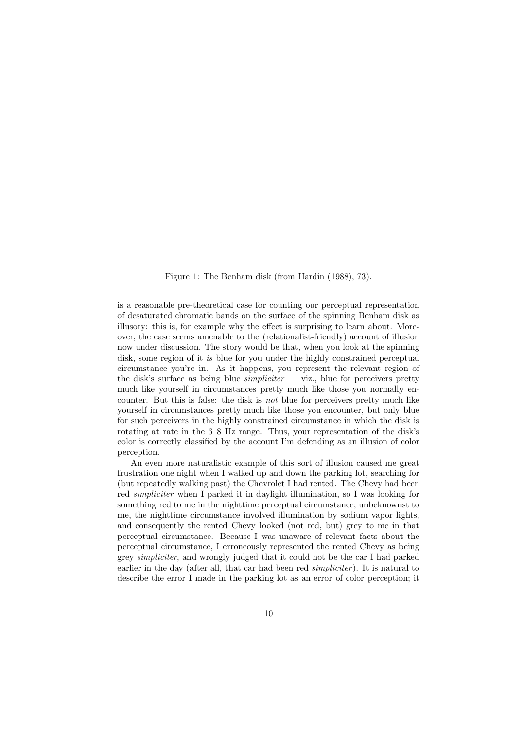Figure 1: The Benham disk (from Hardin (1988), 73).

is a reasonable pre-theoretical case for counting our perceptual representation of desaturated chromatic bands on the surface of the spinning Benham disk as illusory: this is, for example why the effect is surprising to learn about. Moreover, the case seems amenable to the (relationalist-friendly) account of illusion now under discussion. The story would be that, when you look at the spinning disk, some region of it is blue for you under the highly constrained perceptual circumstance you're in. As it happens, you represent the relevant region of the disk's surface as being blue *simpliciter* — viz., blue for perceivers pretty much like yourself in circumstances pretty much like those you normally encounter. But this is false: the disk is not blue for perceivers pretty much like yourself in circumstances pretty much like those you encounter, but only blue for such perceivers in the highly constrained circumstance in which the disk is rotating at rate in the 6–8 Hz range. Thus, your representation of the disk's color is correctly classified by the account I'm defending as an illusion of color perception.

An even more naturalistic example of this sort of illusion caused me great frustration one night when I walked up and down the parking lot, searching for (but repeatedly walking past) the Chevrolet I had rented. The Chevy had been red simpliciter when I parked it in daylight illumination, so I was looking for something red to me in the nighttime perceptual circumstance; unbeknownst to me, the nighttime circumstance involved illumination by sodium vapor lights, and consequently the rented Chevy looked (not red, but) grey to me in that perceptual circumstance. Because I was unaware of relevant facts about the perceptual circumstance, I erroneously represented the rented Chevy as being grey simpliciter, and wrongly judged that it could not be the car I had parked earlier in the day (after all, that car had been red *simpliciter*). It is natural to describe the error I made in the parking lot as an error of color perception; it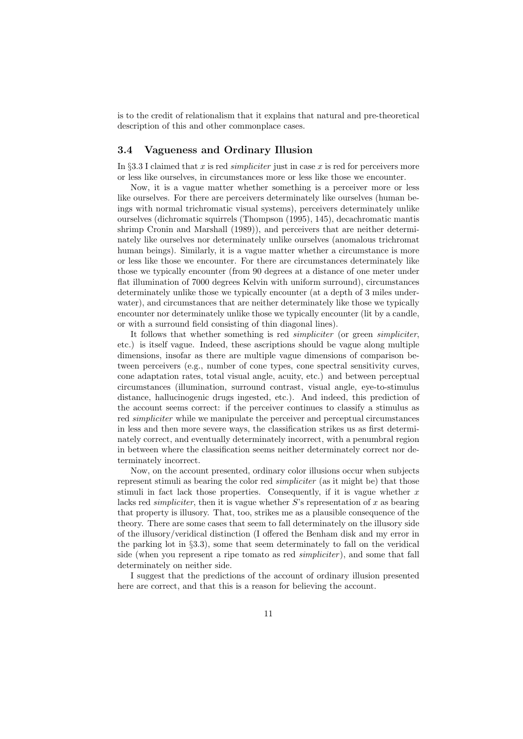is to the credit of relationalism that it explains that natural and pre-theoretical description of this and other commonplace cases.

#### 3.4 Vagueness and Ordinary Illusion

In  $\S 3.3$  I claimed that x is red *simpliciter* just in case x is red for perceivers more or less like ourselves, in circumstances more or less like those we encounter.

Now, it is a vague matter whether something is a perceiver more or less like ourselves. For there are perceivers determinately like ourselves (human beings with normal trichromatic visual systems), perceivers determinately unlike ourselves (dichromatic squirrels (Thompson (1995), 145), decachromatic mantis shrimp Cronin and Marshall (1989)), and perceivers that are neither determinately like ourselves nor determinately unlike ourselves (anomalous trichromat human beings). Similarly, it is a vague matter whether a circumstance is more or less like those we encounter. For there are circumstances determinately like those we typically encounter (from 90 degrees at a distance of one meter under flat illumination of 7000 degrees Kelvin with uniform surround), circumstances determinately unlike those we typically encounter (at a depth of 3 miles underwater), and circumstances that are neither determinately like those we typically encounter nor determinately unlike those we typically encounter (lit by a candle, or with a surround field consisting of thin diagonal lines).

It follows that whether something is red *simpliciter* (or green *simpliciter*, etc.) is itself vague. Indeed, these ascriptions should be vague along multiple dimensions, insofar as there are multiple vague dimensions of comparison between perceivers (e.g., number of cone types, cone spectral sensitivity curves, cone adaptation rates, total visual angle, acuity, etc.) and between perceptual circumstances (illumination, surround contrast, visual angle, eye-to-stimulus distance, hallucinogenic drugs ingested, etc.). And indeed, this prediction of the account seems correct: if the perceiver continues to classify a stimulus as red simpliciter while we manipulate the perceiver and perceptual circumstances in less and then more severe ways, the classification strikes us as first determinately correct, and eventually determinately incorrect, with a penumbral region in between where the classification seems neither determinately correct nor determinately incorrect.

Now, on the account presented, ordinary color illusions occur when subjects represent stimuli as bearing the color red simpliciter (as it might be) that those stimuli in fact lack those properties. Consequently, if it is vague whether  $x$ lacks red *simpliciter*, then it is vague whether  $S$ 's representation of  $x$  as bearing that property is illusory. That, too, strikes me as a plausible consequence of the theory. There are some cases that seem to fall determinately on the illusory side of the illusory/veridical distinction (I offered the Benham disk and my error in the parking lot in §3.3), some that seem determinately to fall on the veridical side (when you represent a ripe tomato as red *simpliciter*), and some that fall determinately on neither side.

I suggest that the predictions of the account of ordinary illusion presented here are correct, and that this is a reason for believing the account.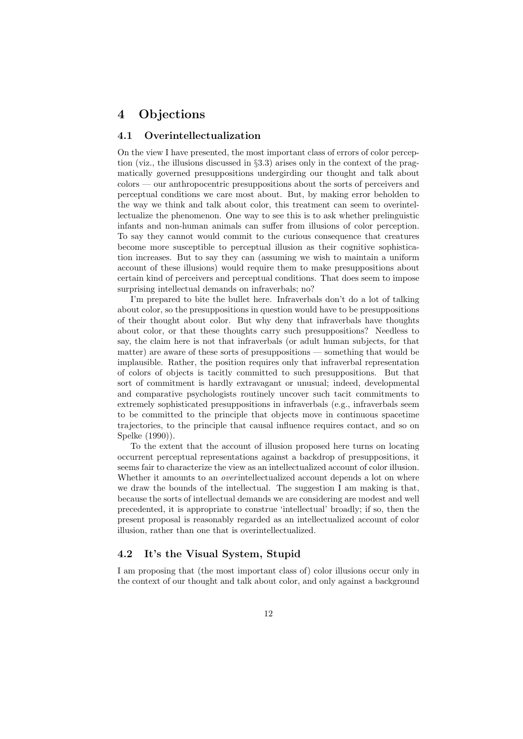## 4 Objections

#### 4.1 Overintellectualization

On the view I have presented, the most important class of errors of color perception (viz., the illusions discussed in §3.3) arises only in the context of the pragmatically governed presuppositions undergirding our thought and talk about colors — our anthropocentric presuppositions about the sorts of perceivers and perceptual conditions we care most about. But, by making error beholden to the way we think and talk about color, this treatment can seem to overintellectualize the phenomenon. One way to see this is to ask whether prelinguistic infants and non-human animals can suffer from illusions of color perception. To say they cannot would commit to the curious consequence that creatures become more susceptible to perceptual illusion as their cognitive sophistication increases. But to say they can (assuming we wish to maintain a uniform account of these illusions) would require them to make presuppositions about certain kind of perceivers and perceptual conditions. That does seem to impose surprising intellectual demands on infraverbals; no?

I'm prepared to bite the bullet here. Infraverbals don't do a lot of talking about color, so the presuppositions in question would have to be presuppositions of their thought about color. But why deny that infraverbals have thoughts about color, or that these thoughts carry such presuppositions? Needless to say, the claim here is not that infraverbals (or adult human subjects, for that matter) are aware of these sorts of presuppositions — something that would be implausible. Rather, the position requires only that infraverbal representation of colors of objects is tacitly committed to such presuppositions. But that sort of commitment is hardly extravagant or unusual; indeed, developmental and comparative psychologists routinely uncover such tacit commitments to extremely sophisticated presuppositions in infraverbals (e.g., infraverbals seem to be committed to the principle that objects move in continuous spacetime trajectories, to the principle that causal influence requires contact, and so on Spelke (1990)).

To the extent that the account of illusion proposed here turns on locating occurrent perceptual representations against a backdrop of presuppositions, it seems fair to characterize the view as an intellectualized account of color illusion. Whether it amounts to an *over* intellectualized account depends a lot on where we draw the bounds of the intellectual. The suggestion I am making is that, because the sorts of intellectual demands we are considering are modest and well precedented, it is appropriate to construe 'intellectual' broadly; if so, then the present proposal is reasonably regarded as an intellectualized account of color illusion, rather than one that is overintellectualized.

#### 4.2 It's the Visual System, Stupid

I am proposing that (the most important class of) color illusions occur only in the context of our thought and talk about color, and only against a background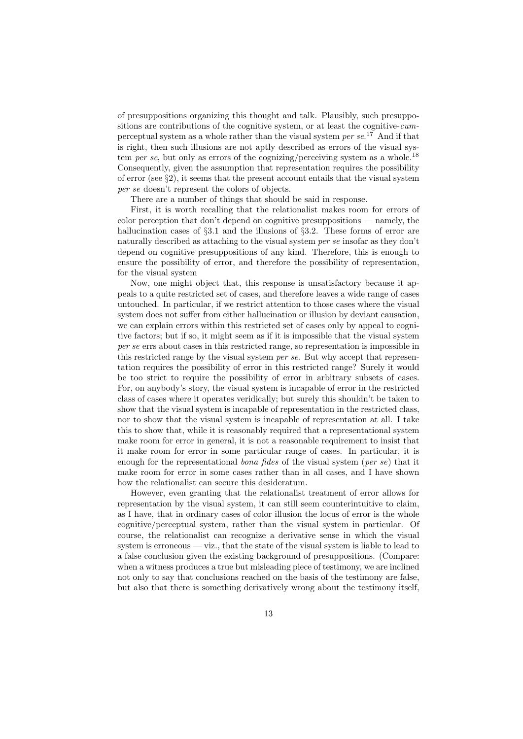of presuppositions organizing this thought and talk. Plausibly, such presuppositions are contributions of the cognitive system, or at least the cognitive-cumperceptual system as a whole rather than the visual system per se. <sup>17</sup> And if that is right, then such illusions are not aptly described as errors of the visual system per se, but only as errors of the cognizing/perceiving system as a whole.<sup>18</sup> Consequently, given the assumption that representation requires the possibility of error (see  $\S$ 2), it seems that the present account entails that the visual system per se doesn't represent the colors of objects.

There are a number of things that should be said in response.

First, it is worth recalling that the relationalist makes room for errors of color perception that don't depend on cognitive presuppositions — namely, the hallucination cases of §3.1 and the illusions of §3.2. These forms of error are naturally described as attaching to the visual system per se insofar as they don't depend on cognitive presuppositions of any kind. Therefore, this is enough to ensure the possibility of error, and therefore the possibility of representation, for the visual system

Now, one might object that, this response is unsatisfactory because it appeals to a quite restricted set of cases, and therefore leaves a wide range of cases untouched. In particular, if we restrict attention to those cases where the visual system does not suffer from either hallucination or illusion by deviant causation, we can explain errors within this restricted set of cases only by appeal to cognitive factors; but if so, it might seem as if it is impossible that the visual system per se errs about cases in this restricted range, so representation is impossible in this restricted range by the visual system per se. But why accept that representation requires the possibility of error in this restricted range? Surely it would be too strict to require the possibility of error in arbitrary subsets of cases. For, on anybody's story, the visual system is incapable of error in the restricted class of cases where it operates veridically; but surely this shouldn't be taken to show that the visual system is incapable of representation in the restricted class, nor to show that the visual system is incapable of representation at all. I take this to show that, while it is reasonably required that a representational system make room for error in general, it is not a reasonable requirement to insist that it make room for error in some particular range of cases. In particular, it is enough for the representational *bona fides* of the visual system (*per se*) that it make room for error in some cases rather than in all cases, and I have shown how the relationalist can secure this desideratum.

However, even granting that the relationalist treatment of error allows for representation by the visual system, it can still seem counterintuitive to claim, as I have, that in ordinary cases of color illusion the locus of error is the whole cognitive/perceptual system, rather than the visual system in particular. Of course, the relationalist can recognize a derivative sense in which the visual system is erroneous — viz., that the state of the visual system is liable to lead to a false conclusion given the existing background of presuppositions. (Compare: when a witness produces a true but misleading piece of testimony, we are inclined not only to say that conclusions reached on the basis of the testimony are false, but also that there is something derivatively wrong about the testimony itself,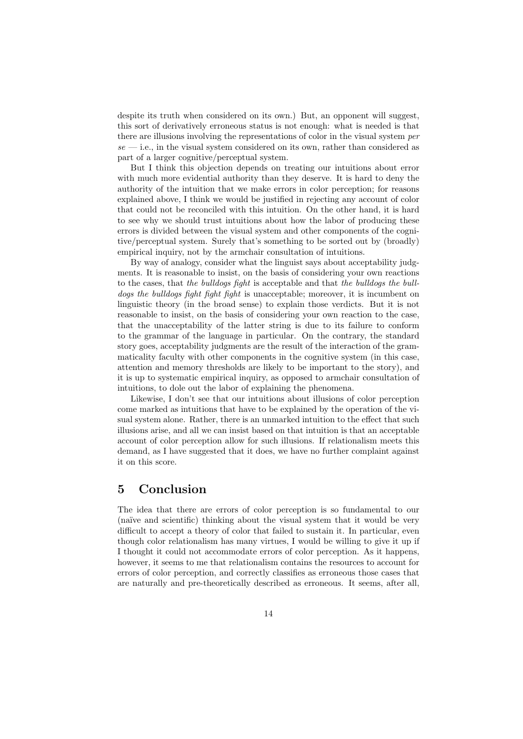despite its truth when considered on its own.) But, an opponent will suggest. this sort of derivatively erroneous status is not enough: what is needed is that there are illusions involving the representations of color in the visual system per  $se$  — i.e., in the visual system considered on its own, rather than considered as part of a larger cognitive/perceptual system.

But I think this objection depends on treating our intuitions about error with much more evidential authority than they deserve. It is hard to deny the authority of the intuition that we make errors in color perception; for reasons explained above, I think we would be justified in rejecting any account of color that could not be reconciled with this intuition. On the other hand, it is hard to see why we should trust intuitions about how the labor of producing these errors is divided between the visual system and other components of the cognitive/perceptual system. Surely that's something to be sorted out by (broadly) empirical inquiry, not by the armchair consultation of intuitions.

By way of analogy, consider what the linguist says about acceptability judgments. It is reasonable to insist, on the basis of considering your own reactions to the cases, that the bulldogs fight is acceptable and that the bulldogs the bulldogs the bulldogs fight fight fight is unacceptable; moreover, it is incumbent on linguistic theory (in the broad sense) to explain those verdicts. But it is not reasonable to insist, on the basis of considering your own reaction to the case, that the unacceptability of the latter string is due to its failure to conform to the grammar of the language in particular. On the contrary, the standard story goes, acceptability judgments are the result of the interaction of the grammaticality faculty with other components in the cognitive system (in this case, attention and memory thresholds are likely to be important to the story), and it is up to systematic empirical inquiry, as opposed to armchair consultation of intuitions, to dole out the labor of explaining the phenomena.

Likewise, I don't see that our intuitions about illusions of color perception come marked as intuitions that have to be explained by the operation of the visual system alone. Rather, there is an unmarked intuition to the effect that such illusions arise, and all we can insist based on that intuition is that an acceptable account of color perception allow for such illusions. If relationalism meets this demand, as I have suggested that it does, we have no further complaint against it on this score.

## 5 Conclusion

The idea that there are errors of color perception is so fundamental to our (naïve and scientific) thinking about the visual system that it would be very difficult to accept a theory of color that failed to sustain it. In particular, even though color relationalism has many virtues, I would be willing to give it up if I thought it could not accommodate errors of color perception. As it happens, however, it seems to me that relationalism contains the resources to account for errors of color perception, and correctly classifies as erroneous those cases that are naturally and pre-theoretically described as erroneous. It seems, after all,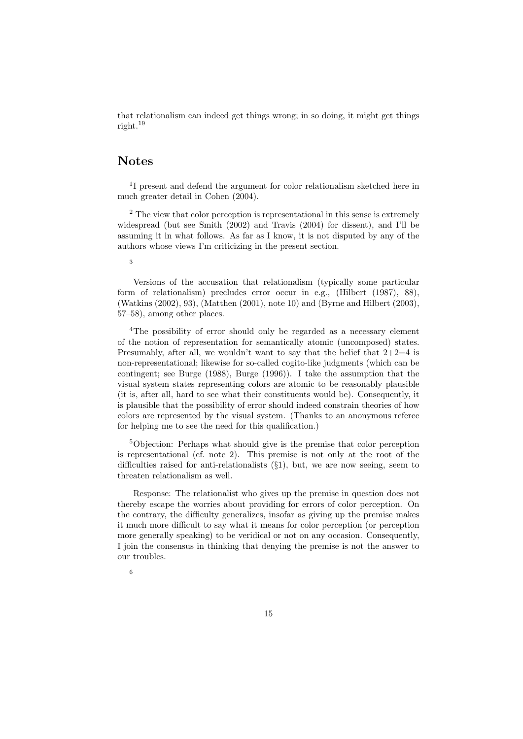that relationalism can indeed get things wrong; in so doing, it might get things right.<sup>19</sup>

## Notes

<sup>1</sup>I present and defend the argument for color relationalism sketched here in much greater detail in Cohen (2004).

<sup>2</sup> The view that color perception is representational in this sense is extremely widespread (but see Smith (2002) and Travis (2004) for dissent), and I'll be assuming it in what follows. As far as I know, it is not disputed by any of the authors whose views I'm criticizing in the present section.

3

Versions of the accusation that relationalism (typically some particular form of relationalism) precludes error occur in e.g., (Hilbert (1987), 88), (Watkins (2002), 93), (Matthen (2001), note 10) and (Byrne and Hilbert (2003), 57–58), among other places.

<sup>4</sup>The possibility of error should only be regarded as a necessary element of the notion of representation for semantically atomic (uncomposed) states. Presumably, after all, we wouldn't want to say that the belief that  $2+2=4$  is non-representational; likewise for so-called cogito-like judgments (which can be contingent; see Burge (1988), Burge (1996)). I take the assumption that the visual system states representing colors are atomic to be reasonably plausible (it is, after all, hard to see what their constituents would be). Consequently, it is plausible that the possibility of error should indeed constrain theories of how colors are represented by the visual system. (Thanks to an anonymous referee for helping me to see the need for this qualification.)

<sup>5</sup>Objection: Perhaps what should give is the premise that color perception is representational (cf. note 2). This premise is not only at the root of the difficulties raised for anti-relationalists (§1), but, we are now seeing, seem to threaten relationalism as well.

Response: The relationalist who gives up the premise in question does not thereby escape the worries about providing for errors of color perception. On the contrary, the difficulty generalizes, insofar as giving up the premise makes it much more difficult to say what it means for color perception (or perception more generally speaking) to be veridical or not on any occasion. Consequently, I join the consensus in thinking that denying the premise is not the answer to our troubles.

<sup>6</sup>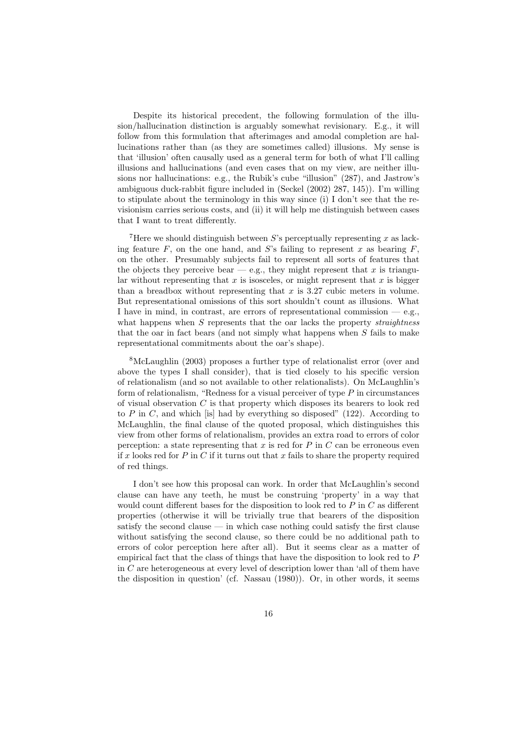Despite its historical precedent, the following formulation of the illusion/hallucination distinction is arguably somewhat revisionary. E.g., it will follow from this formulation that afterimages and amodal completion are hallucinations rather than (as they are sometimes called) illusions. My sense is that 'illusion' often causally used as a general term for both of what I'll calling illusions and hallucinations (and even cases that on my view, are neither illusions nor hallucinations: e.g., the Rubik's cube "illusion" (287), and Jastrow's ambiguous duck-rabbit figure included in (Seckel (2002) 287, 145)). I'm willing to stipulate about the terminology in this way since (i) I don't see that the revisionism carries serious costs, and (ii) it will help me distinguish between cases that I want to treat differently.

<sup>7</sup>Here we should distinguish between S's perceptually representing x as lacking feature  $F$ , on the one hand, and  $S$ 's failing to represent x as bearing  $F$ . on the other. Presumably subjects fail to represent all sorts of features that the objects they perceive bear — e.g., they might represent that x is triangular without representing that  $x$  is isosceles, or might represent that  $x$  is bigger than a breadbox without representing that  $x$  is 3.27 cubic meters in volume. But representational omissions of this sort shouldn't count as illusions. What I have in mind, in contrast, are errors of representational commission — e.g., what happens when  $S$  represents that the oar lacks the property straightness that the oar in fact bears (and not simply what happens when  $S$  fails to make representational commitments about the oar's shape).

<sup>8</sup>McLaughlin (2003) proposes a further type of relationalist error (over and above the types I shall consider), that is tied closely to his specific version of relationalism (and so not available to other relationalists). On McLaughlin's form of relationalism, "Redness for a visual perceiver of type  $P$  in circumstances of visual observation  $C$  is that property which disposes its bearers to look red to P in C, and which [is] had by everything so disposed" (122). According to McLaughlin, the final clause of the quoted proposal, which distinguishes this view from other forms of relationalism, provides an extra road to errors of color perception: a state representing that x is red for  $P$  in  $C$  can be erroneous even if x looks red for  $P$  in  $C$  if it turns out that  $x$  fails to share the property required of red things.

I don't see how this proposal can work. In order that McLaughlin's second clause can have any teeth, he must be construing 'property' in a way that would count different bases for the disposition to look red to  $P$  in  $C$  as different properties (otherwise it will be trivially true that bearers of the disposition satisfy the second clause — in which case nothing could satisfy the first clause without satisfying the second clause, so there could be no additional path to errors of color perception here after all). But it seems clear as a matter of empirical fact that the class of things that have the disposition to look red to P in C are heterogeneous at every level of description lower than 'all of them have the disposition in question' (cf. Nassau (1980)). Or, in other words, it seems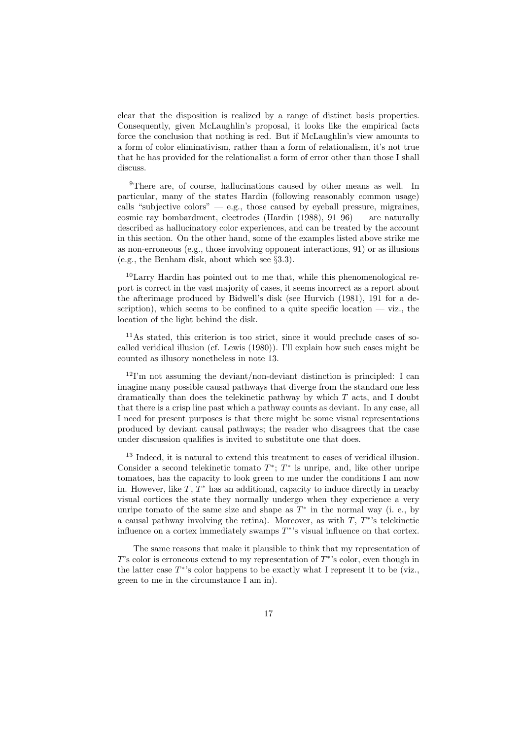clear that the disposition is realized by a range of distinct basis properties. Consequently, given McLaughlin's proposal, it looks like the empirical facts force the conclusion that nothing is red. But if McLaughlin's view amounts to a form of color eliminativism, rather than a form of relationalism, it's not true that he has provided for the relationalist a form of error other than those I shall discuss.

<sup>9</sup>There are, of course, hallucinations caused by other means as well. In particular, many of the states Hardin (following reasonably common usage) calls "subjective colors"  $-$  e.g., those caused by eyeball pressure, migraines, cosmic ray bombardment, electrodes (Hardin (1988), 91–96) — are naturally described as hallucinatory color experiences, and can be treated by the account in this section. On the other hand, some of the examples listed above strike me as non-erroneous (e.g., those involving opponent interactions, 91) or as illusions (e.g., the Benham disk, about which see §3.3).

 $10$ Larry Hardin has pointed out to me that, while this phenomenological report is correct in the vast majority of cases, it seems incorrect as a report about the afterimage produced by Bidwell's disk (see Hurvich (1981), 191 for a description), which seems to be confined to a quite specific location  $-$  viz., the location of the light behind the disk.

<sup>11</sup>As stated, this criterion is too strict, since it would preclude cases of socalled veridical illusion (cf. Lewis (1980)). I'll explain how such cases might be counted as illusory nonetheless in note 13.

 $12$ I'm not assuming the deviant/non-deviant distinction is principled: I can imagine many possible causal pathways that diverge from the standard one less dramatically than does the telekinetic pathway by which T acts, and I doubt that there is a crisp line past which a pathway counts as deviant. In any case, all I need for present purposes is that there might be some visual representations produced by deviant causal pathways; the reader who disagrees that the case under discussion qualifies is invited to substitute one that does.

<sup>13</sup> Indeed, it is natural to extend this treatment to cases of veridical illusion. Consider a second telekinetic tomato  $T^*$ ;  $T^*$  is unripe, and, like other unripe tomatoes, has the capacity to look green to me under the conditions I am now in. However, like  $T, T^*$  has an additional, capacity to induce directly in nearby visual cortices the state they normally undergo when they experience a very unripe tomato of the same size and shape as  $T^*$  in the normal way (i. e., by a causal pathway involving the retina). Moreover, as with  $T, T^{**}$ 's telekinetic influence on a cortex immediately swamps  $T^*$ 's visual influence on that cortex.

The same reasons that make it plausible to think that my representation of T's color is erroneous extend to my representation of  $T^*$ 's color, even though in the latter case  $T^*$ 's color happens to be exactly what I represent it to be (viz., green to me in the circumstance I am in).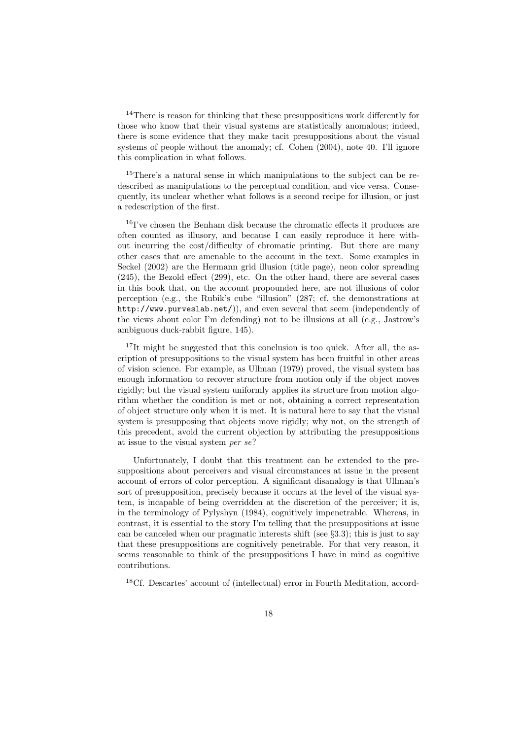<sup>14</sup>There is reason for thinking that these presuppositions work differently for those who know that their visual systems are statistically anomalous; indeed, there is some evidence that they make tacit presuppositions about the visual systems of people without the anomaly; cf. Cohen  $(2004)$ , note 40. I'll ignore this complication in what follows.

<sup>15</sup>There's a natural sense in which manipulations to the subject can be redescribed as manipulations to the perceptual condition, and vice versa. Consequently, its unclear whether what follows is a second recipe for illusion, or just a redescription of the first.

<sup>16</sup>I've chosen the Benham disk because the chromatic effects it produces are often counted as illusory, and because I can easily reproduce it here without incurring the cost/difficulty of chromatic printing. But there are many other cases that are amenable to the account in the text. Some examples in Seckel (2002) are the Hermann grid illusion (title page), neon color spreading (245), the Bezold effect (299), etc. On the other hand, there are several cases in this book that, on the account propounded here, are not illusions of color perception (e.g., the Rubik's cube "illusion" (287; cf. the demonstrations at http://www.purveslab.net/)), and even several that seem (independently of the views about color I'm defending) not to be illusions at all (e.g., Jastrow's ambiguous duck-rabbit figure, 145).

 $17$ It might be suggested that this conclusion is too quick. After all, the ascription of presuppositions to the visual system has been fruitful in other areas of vision science. For example, as Ullman (1979) proved, the visual system has enough information to recover structure from motion only if the object moves rigidly; but the visual system uniformly applies its structure from motion algorithm whether the condition is met or not, obtaining a correct representation of object structure only when it is met. It is natural here to say that the visual system is presupposing that objects move rigidly; why not, on the strength of this precedent, avoid the current objection by attributing the presuppositions at issue to the visual system per se?

Unfortunately, I doubt that this treatment can be extended to the presuppositions about perceivers and visual circumstances at issue in the present account of errors of color perception. A significant disanalogy is that Ullman's sort of presupposition, precisely because it occurs at the level of the visual system, is incapable of being overridden at the discretion of the perceiver; it is, in the terminology of Pylyshyn (1984), cognitively impenetrable. Whereas, in contrast, it is essential to the story I'm telling that the presuppositions at issue can be canceled when our pragmatic interests shift (see  $\S 3.3$ ); this is just to say that these presuppositions are cognitively penetrable. For that very reason, it seems reasonable to think of the presuppositions I have in mind as cognitive contributions.

<sup>18</sup>Cf. Descartes' account of (intellectual) error in Fourth Meditation, accord-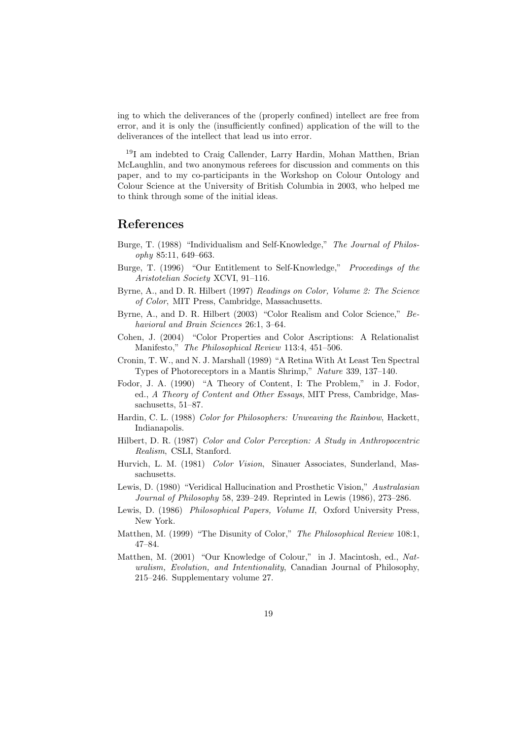ing to which the deliverances of the (properly confined) intellect are free from error, and it is only the (insufficiently confined) application of the will to the deliverances of the intellect that lead us into error.

<sup>19</sup>I am indebted to Craig Callender, Larry Hardin, Mohan Matthen, Brian McLaughlin, and two anonymous referees for discussion and comments on this paper, and to my co-participants in the Workshop on Colour Ontology and Colour Science at the University of British Columbia in 2003, who helped me to think through some of the initial ideas.

### References

- Burge, T. (1988) "Individualism and Self-Knowledge," The Journal of Philosophy 85:11, 649–663.
- Burge, T. (1996) "Our Entitlement to Self-Knowledge," Proceedings of the Aristotelian Society XCVI, 91–116.
- Byrne, A., and D. R. Hilbert (1997) Readings on Color, Volume 2: The Science of Color, MIT Press, Cambridge, Massachusetts.
- Byrne, A., and D. R. Hilbert (2003) "Color Realism and Color Science," Behavioral and Brain Sciences 26:1, 3–64.
- Cohen, J. (2004) "Color Properties and Color Ascriptions: A Relationalist Manifesto," The Philosophical Review 113:4, 451–506.
- Cronin, T. W., and N. J. Marshall (1989) "A Retina With At Least Ten Spectral Types of Photoreceptors in a Mantis Shrimp," Nature 339, 137–140.
- Fodor, J. A. (1990) "A Theory of Content, I: The Problem," in J. Fodor, ed., A Theory of Content and Other Essays, MIT Press, Cambridge, Massachusetts, 51–87.
- Hardin, C. L. (1988) Color for Philosophers: Unweaving the Rainbow, Hackett, Indianapolis.
- Hilbert, D. R. (1987) Color and Color Perception: A Study in Anthropocentric Realism, CSLI, Stanford.
- Hurvich, L. M. (1981) Color Vision, Sinauer Associates, Sunderland, Massachusetts.
- Lewis, D. (1980) "Veridical Hallucination and Prosthetic Vision," Australasian Journal of Philosophy 58, 239–249. Reprinted in Lewis (1986), 273–286.
- Lewis, D. (1986) Philosophical Papers, Volume II, Oxford University Press, New York.
- Matthen, M. (1999) "The Disunity of Color," The Philosophical Review 108:1, 47–84.
- Matthen, M. (2001) "Our Knowledge of Colour," in J. Macintosh, ed., Naturalism, Evolution, and Intentionality, Canadian Journal of Philosophy, 215–246. Supplementary volume 27.